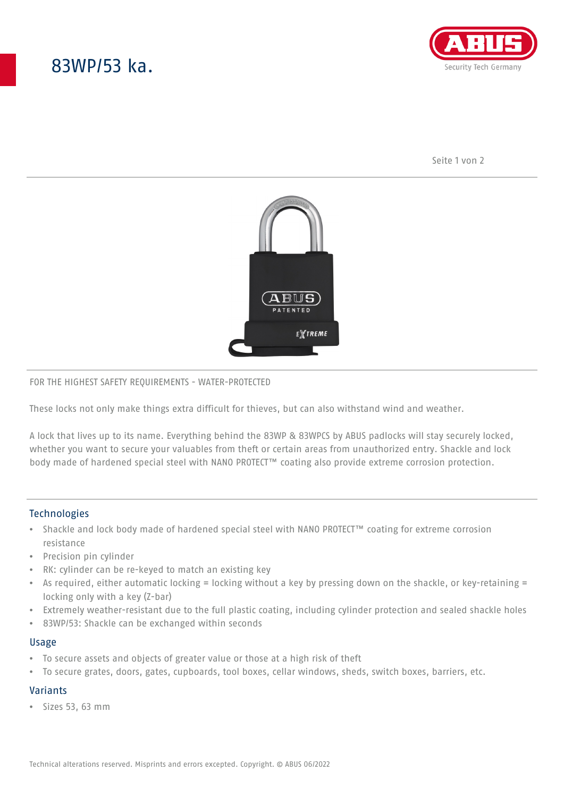# 83WP/53 ka.



Seite 1 von 2



#### FOR THE HIGHEST SAFETY REQUIREMENTS - WATER-PROTECTED

These locks not only make things extra difficult for thieves, but can also withstand wind and weather.

A lock that lives up to its name. Everything behind the 83WP & 83WPCS by ABUS padlocks will stay securely locked, whether you want to secure your valuables from theft or certain areas from unauthorized entry. Shackle and lock body made of hardened special steel with NANO PROTECT™ coating also provide extreme corrosion protection.

## **Technologies**

- Shackle and lock body made of hardened special steel with NANO PROTECT™ coating for extreme corrosion resistance
- Precision pin cylinder
- RK: cylinder can be re-keyed to match an existing key
- As required, either automatic locking = locking without a key by pressing down on the shackle, or key-retaining = locking only with a key (Z-bar)
- Extremely weather-resistant due to the full plastic coating, including cylinder protection and sealed shackle holes
- 83WP/53: Shackle can be exchanged within seconds

#### Usage

- To secure assets and objects of greater value or those at a high risk of theft
- To secure grates, doors, gates, cupboards, tool boxes, cellar windows, sheds, switch boxes, barriers, etc.

## Variants

• Sizes 53, 63 mm